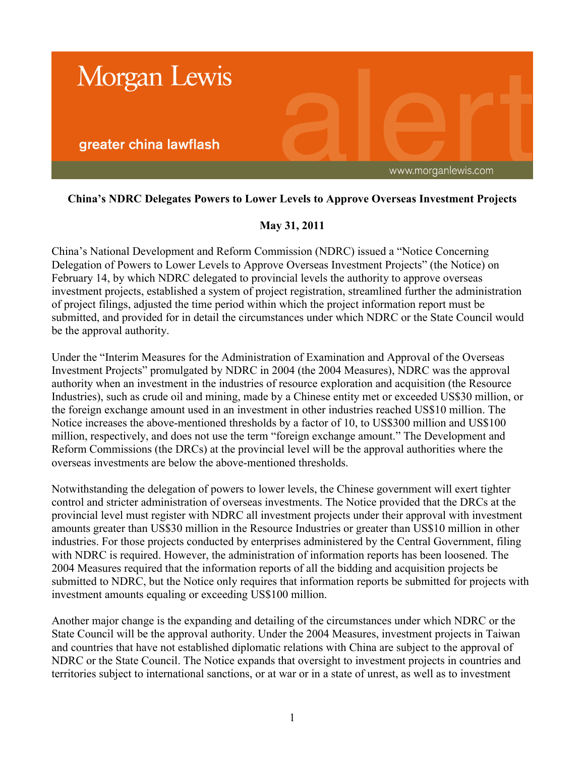

## **China's NDRC Delegates Powers to Lower Levels to Approve Overseas Investment Projects**

## **May 31, 2011**

China's National Development and Reform Commission (NDRC) issued a "Notice Concerning Delegation of Powers to Lower Levels to Approve Overseas Investment Projects" (the Notice) on February 14, by which NDRC delegated to provincial levels the authority to approve overseas investment projects, established a system of project registration, streamlined further the administration of project filings, adjusted the time period within which the project information report must be submitted, and provided for in detail the circumstances under which NDRC or the State Council would be the approval authority.

Under the "Interim Measures for the Administration of Examination and Approval of the Overseas Investment Projects" promulgated by NDRC in 2004 (the 2004 Measures), NDRC was the approval authority when an investment in the industries of resource exploration and acquisition (the Resource Industries), such as crude oil and mining, made by a Chinese entity met or exceeded US\$30 million, or the foreign exchange amount used in an investment in other industries reached US\$10 million. The Notice increases the above-mentioned thresholds by a factor of 10, to US\$300 million and US\$100 million, respectively, and does not use the term "foreign exchange amount." The Development and Reform Commissions (the DRCs) at the provincial level will be the approval authorities where the overseas investments are below the above-mentioned thresholds.

Notwithstanding the delegation of powers to lower levels, the Chinese government will exert tighter control and stricter administration of overseas investments. The Notice provided that the DRCs at the provincial level must register with NDRC all investment projects under their approval with investment amounts greater than US\$30 million in the Resource Industries or greater than US\$10 million in other industries. For those projects conducted by enterprises administered by the Central Government, filing with NDRC is required. However, the administration of information reports has been loosened. The 2004 Measures required that the information reports of all the bidding and acquisition projects be submitted to NDRC, but the Notice only requires that information reports be submitted for projects with investment amounts equaling or exceeding US\$100 million.

Another major change is the expanding and detailing of the circumstances under which NDRC or the State Council will be the approval authority. Under the 2004 Measures, investment projects in Taiwan and countries that have not established diplomatic relations with China are subject to the approval of NDRC or the State Council. The Notice expands that oversight to investment projects in countries and territories subject to international sanctions, or at war or in a state of unrest, as well as to investment